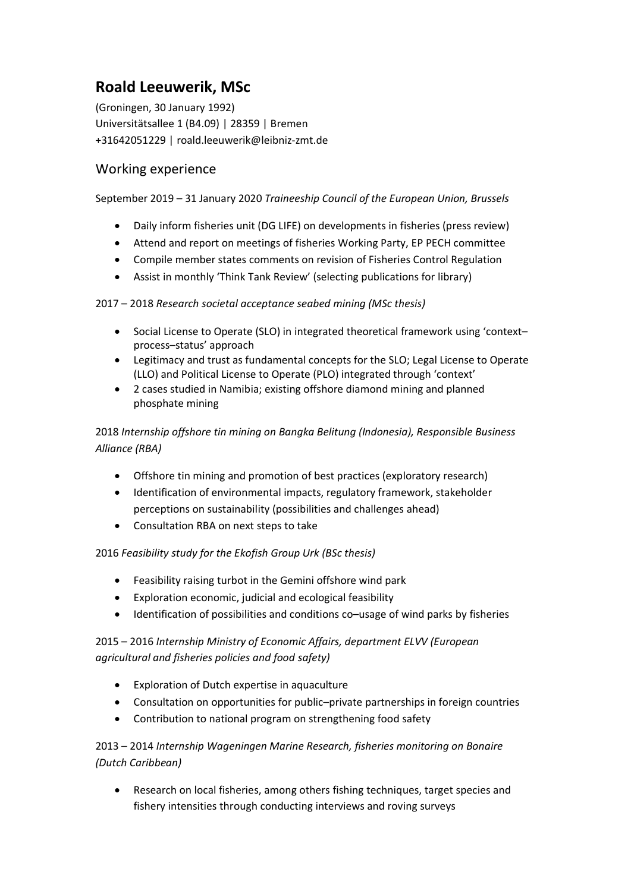# **Roald Leeuwerik, MSc**

(Groningen, 30 January 1992) Universitätsallee 1 (B4.09) | 28359 | Bremen +31642051229 | roald.leeuwerik@leibniz-zmt.de

# Working experience

### September 2019 – 31 January 2020 *Traineeship Council of the European Union, Brussels*

- Daily inform fisheries unit (DG LIFE) on developments in fisheries (press review)
- Attend and report on meetings of fisheries Working Party, EP PECH committee
- Compile member states comments on revision of Fisheries Control Regulation
- Assist in monthly 'Think Tank Review' (selecting publications for library)

### 2017 – 2018 *Research societal acceptance seabed mining (MSc thesis)*

- Social License to Operate (SLO) in integrated theoretical framework using 'context– process–status' approach
- Legitimacy and trust as fundamental concepts for the SLO; Legal License to Operate (LLO) and Political License to Operate (PLO) integrated through 'context'
- 2 cases studied in Namibia; existing offshore diamond mining and planned phosphate mining

### 2018 *Internship offshore tin mining on Bangka Belitung (Indonesia), Responsible Business Alliance (RBA)*

- Offshore tin mining and promotion of best practices (exploratory research)
- Identification of environmental impacts, regulatory framework, stakeholder perceptions on sustainability (possibilities and challenges ahead)
- Consultation RBA on next steps to take

### 2016 *Feasibility study for the Ekofish Group Urk (BSc thesis)*

- Feasibility raising turbot in the Gemini offshore wind park
- Exploration economic, judicial and ecological feasibility
- Identification of possibilities and conditions co–usage of wind parks by fisheries

## 2015 – 2016 *Internship Ministry of Economic Affairs, department ELVV (European agricultural and fisheries policies and food safety)*

- Exploration of Dutch expertise in aquaculture
- Consultation on opportunities for public–private partnerships in foreign countries
- Contribution to national program on strengthening food safety

## 2013 – 2014 *Internship Wageningen Marine Research, fisheries monitoring on Bonaire (Dutch Caribbean)*

• Research on local fisheries, among others fishing techniques, target species and fishery intensities through conducting interviews and roving surveys